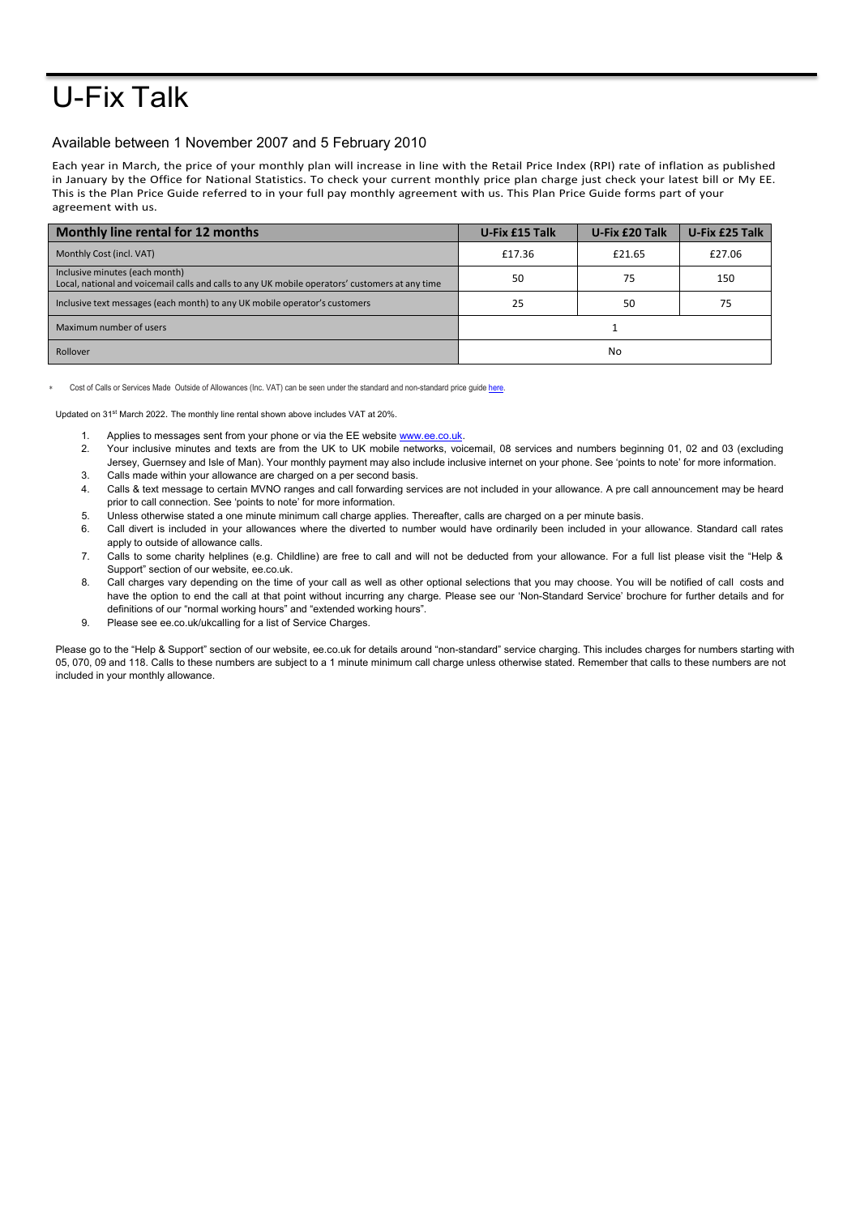## U-Fix Talk

## Available between 1 November 2007 and 5 February 2010

Each year in March, the price of your monthly plan will increase in line with the Retail Price Index (RPI) rate of inflation as published in January by the Office for National Statistics. To check your current monthly price plan charge just check your latest bill or My EE. This is the Plan Price Guide referred to in your full pay monthly agreement with us. This Plan Price Guide forms part of your agreement with us.

| Monthly line rental for 12 months                                                                                                 | U-Fix £15 Talk | U-Fix £20 Talk | U-Fix £25 Talk |
|-----------------------------------------------------------------------------------------------------------------------------------|----------------|----------------|----------------|
| Monthly Cost (incl. VAT)                                                                                                          | £17.36         | £21.65         | £27.06         |
| Inclusive minutes (each month)<br>Local, national and voicemail calls and calls to any UK mobile operators' customers at any time | 50             | 75             | 150            |
| Inclusive text messages (each month) to any UK mobile operator's customers                                                        | 25             | 50             | 75             |
| Maximum number of users                                                                                                           |                |                |                |
| Rollover                                                                                                                          | No             |                |                |

Cost of Calls or Services Made Outside of Allowances (Inc. VAT) can be seen under the standard and non-standard price guide here

Updated on 31<sup>st</sup> March 2022. The monthly line rental shown above includes VAT at 20%.

- 1. Applies to messages sent from your phone or via the EE website [www.ee.co.uk.](http://www.ee.co.uk/)
- 2. Your inclusive minutes and texts are from the UK to UK mobile networks, voicemail, 08 services and numbers beginning 01, 02 and 03 (excluding Jersey, Guernsey and Isle of Man). Your monthly payment may also include inclusive internet on your phone. See 'points to note' for more information. 3. Calls made within your allowance are charged on a per second basis.
- 4. Calls & text message to certain MVNO ranges and call forwarding services are not included in your allowance. A pre call announcement may be heard
- prior to call connection. See 'points to note' for more information.
- 5. Unless otherwise stated a one minute minimum call charge applies. Thereafter, calls are charged on a per minute basis.
- 6. Call divert is included in your allowances where the diverted to number would have ordinarily been included in your allowance. Standard call rates apply to outside of allowance calls.
- 7. Calls to some charity helplines (e.g. Childline) are free to call and will not be deducted from your allowance. For a full list please visit the "Help & Support" section of our website, ee.co.uk.
- 8. Call charges vary depending on the time of your call as well as other optional selections that you may choose. You will be notified of call costs and have the option to end the call at that point without incurring any charge. Please see our 'Non-Standard Service' brochure for further details and for definitions of our "normal working hours" and "extended working hours".
- 9. Please see ee.co.uk/ukcalling for a list of Service Charges.

Please go to the "Help & Support" section of our website, ee.co.uk for details around "non-standard" service charging. This includes charges for numbers starting with 05, 070, 09 and 118. Calls to these numbers are subject to a 1 minute minimum call charge unless otherwise stated. Remember that calls to these numbers are not included in your monthly allowance.